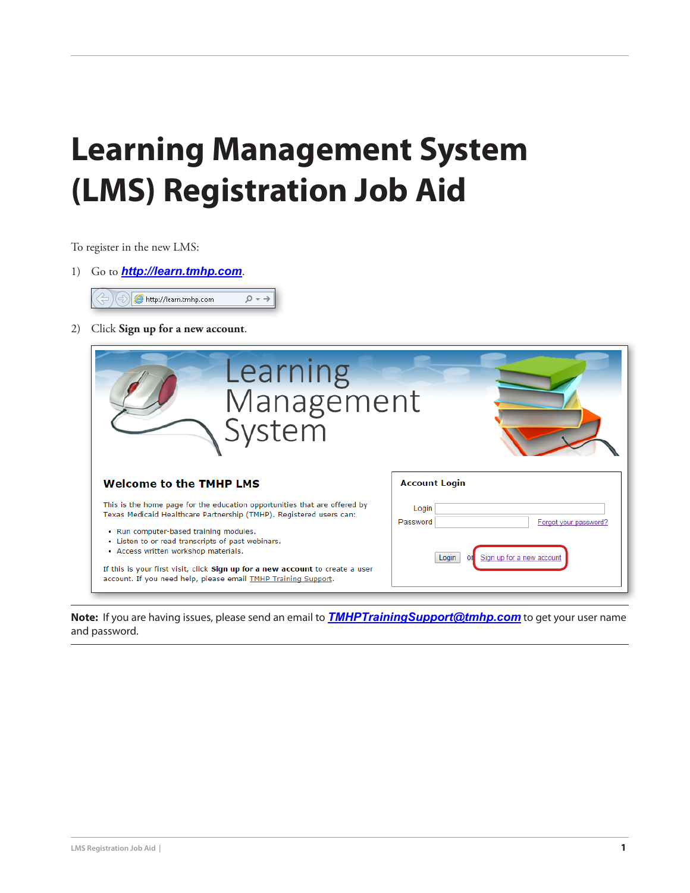## **Learning Management System (LMS) Registration Job Aid**

To register in the new LMS:

- 1) Go to *<http://learn.tmhp.com>*.  $\rho \rightarrow$  $\left\langle \ominus\right)\right|\bigoplus$  http://learn.tmhp.com
- 2) Click **Sign up for a new account**.

| Learning<br>Management<br>System                                                                                                                                                                                                                                                        |                                                                                  |
|-----------------------------------------------------------------------------------------------------------------------------------------------------------------------------------------------------------------------------------------------------------------------------------------|----------------------------------------------------------------------------------|
| <b>Welcome to the TMHP LMS</b>                                                                                                                                                                                                                                                          | <b>Account Login</b>                                                             |
| This is the home page for the education opportunities that are offered by<br>Texas Medicaid Healthcare Partnership (TMHP). Registered users can:<br>. Run computer-based training modules.<br>• Listen to or read transcripts of past webinars.<br>• Access written workshop materials. | Login<br>Password<br>Forgot your password?<br>Sign up for a new account<br>Login |
| If this is your first visit, click Sign up for a new account to create a user<br>account. If you need help, please email TMHP Training Support.                                                                                                                                         |                                                                                  |

**Note:** If you are having issues, please send an email to *[TMHPTrainingSupport@tmhp.com](mailto:TMHPTrainingSupport%40tmhp.com?subject=UserName/Password)* to get your user name and password.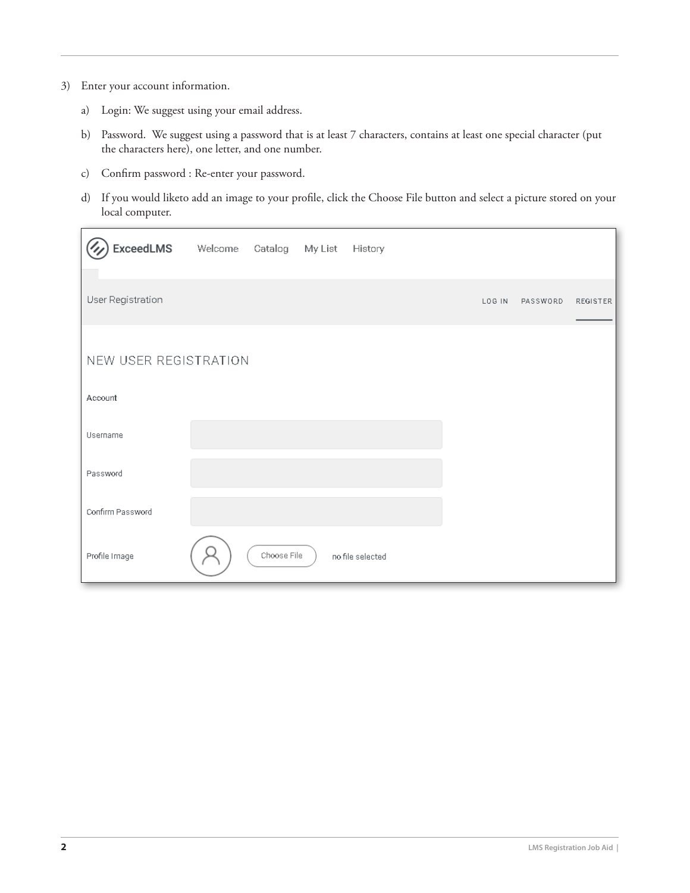- 3) Enter your account information.
	- a) Login: We suggest using your email address.
	- b) Password. We suggest using a password that is at least 7 characters, contains at least one special character (put the characters here), one letter, and one number.
	- c) Confirm password : Re-enter your password.
	- d) If you would liketo add an image to your profile, click the Choose File button and select a picture stored on your local computer.

| ExceedLMS             | Welcome Catalog My List |             | History          |        |          |                 |
|-----------------------|-------------------------|-------------|------------------|--------|----------|-----------------|
| User Registration     |                         |             |                  | LOG IN | PASSWORD | <b>REGISTER</b> |
| NEW USER REGISTRATION |                         |             |                  |        |          |                 |
| Account               |                         |             |                  |        |          |                 |
| Username              |                         |             |                  |        |          |                 |
| Password              |                         |             |                  |        |          |                 |
| Confirm Password      |                         |             |                  |        |          |                 |
| Profile Image         |                         | Choose File | no file selected |        |          |                 |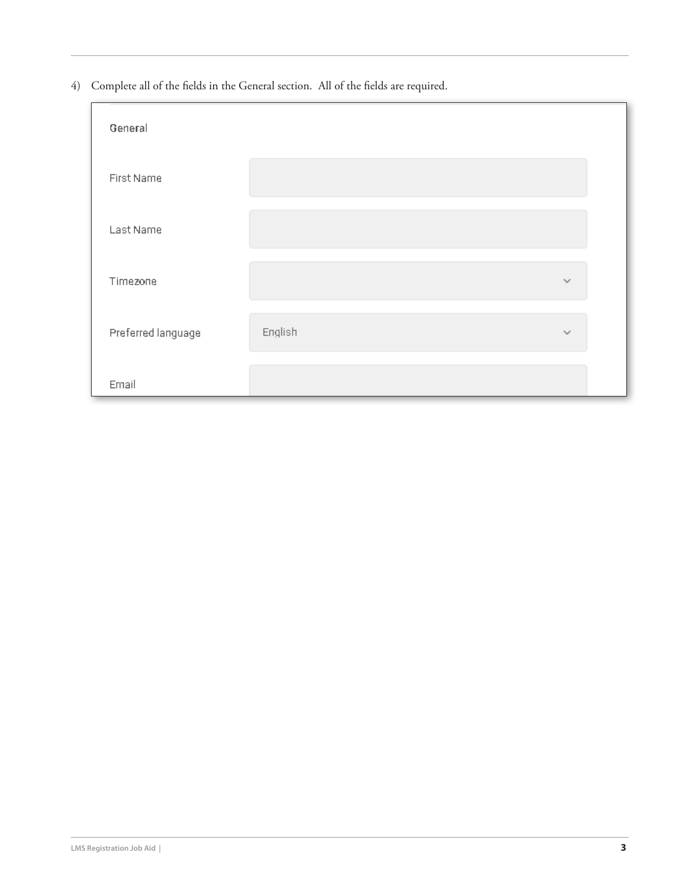4) Complete all of the fields in the General section. All of the fields are required.

| General            |         |              |
|--------------------|---------|--------------|
| First Name         |         |              |
| Last Name          |         |              |
| Timezone           |         | $\checkmark$ |
| Preferred language | English | $\checkmark$ |
| Email              |         |              |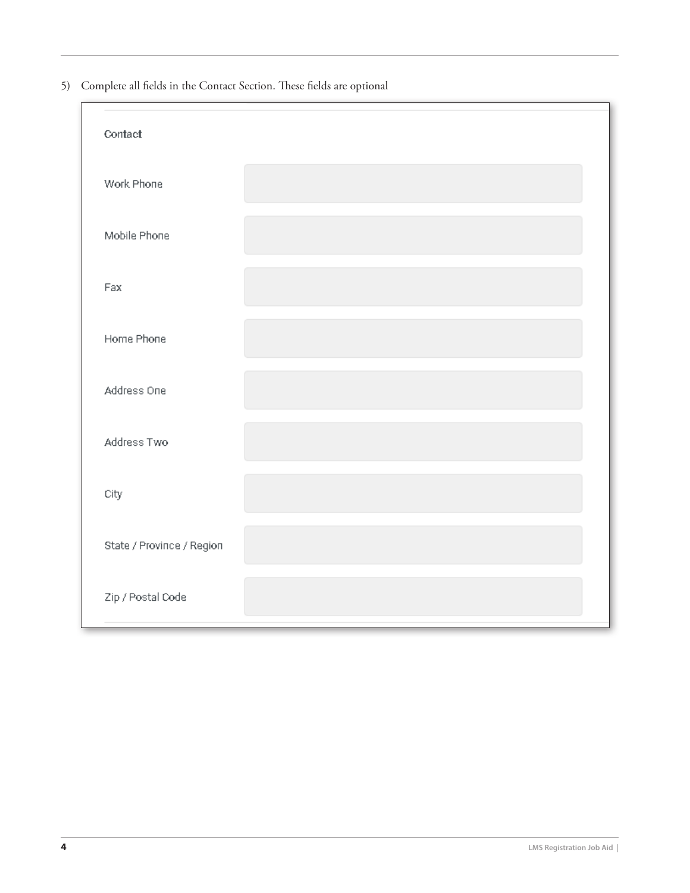5) Complete all fields in the Contact Section. These fields are optional

| Contact                   |  |
|---------------------------|--|
| Work Phone                |  |
| Mobile Phone              |  |
| Fax                       |  |
| Home Phone                |  |
| Address One               |  |
| Address Two               |  |
| City                      |  |
| State / Province / Region |  |
| Zip / Postal Code         |  |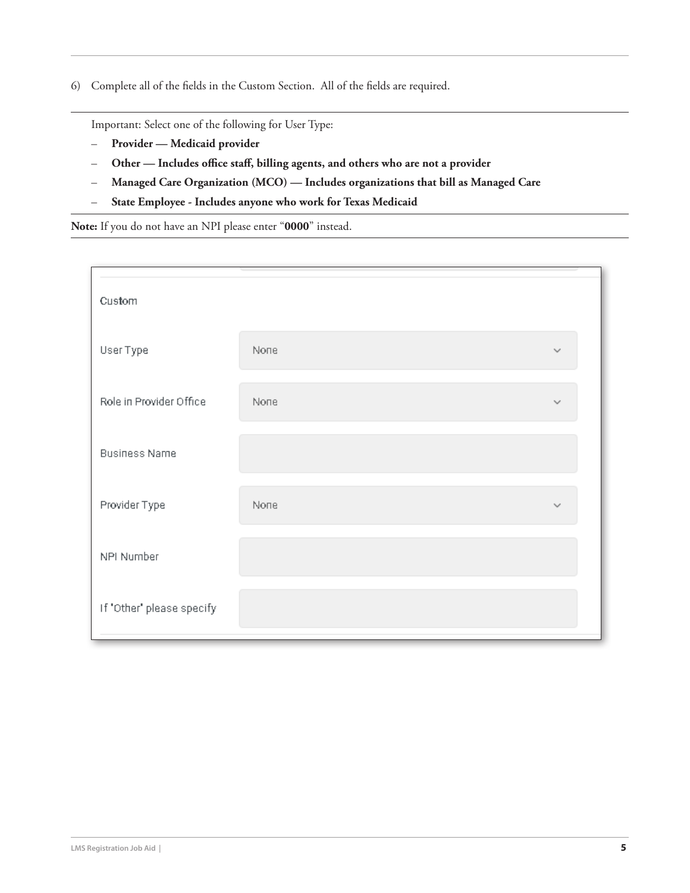6) Complete all of the fields in the Custom Section. All of the fields are required.

Important: Select one of the following for User Type:

- **Provider Medicaid provider**
- **Other Includes office staff, billing agents, and others who are not a provider**
- **Managed Care Organization (MCO) Includes organizations that bill as Managed Care**
- **State Employee Includes anyone who work for Texas Medicaid**

**Note:** If you do not have an NPI please enter "**0000**" instead.

| Custom                    |                    |              |
|---------------------------|--------------------|--------------|
| User Type                 | <b><i>None</i></b> | $\checkmark$ |
| Role in Provider Office   | <b>None</b>        | $\checkmark$ |
| <b>Business Name</b>      |                    |              |
| Provider Type             | <b><i>None</i></b> |              |
| NPI Number                |                    |              |
| If "Other" please specify |                    |              |